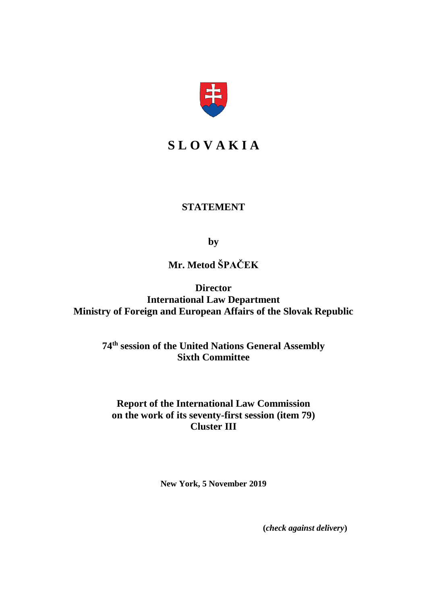

# **S L O V A K I A**

## **STATEMENT**

**by**

**Mr. Metod ŠPAČEK**

**Director International Law Department Ministry of Foreign and European Affairs of the Slovak Republic**

> **74th session of the United Nations General Assembly Sixth Committee**

**Report of the International Law Commission on the work of its seventy-first session (item 79) Cluster III**

**New York, 5 November 2019**

**(***check against delivery***)**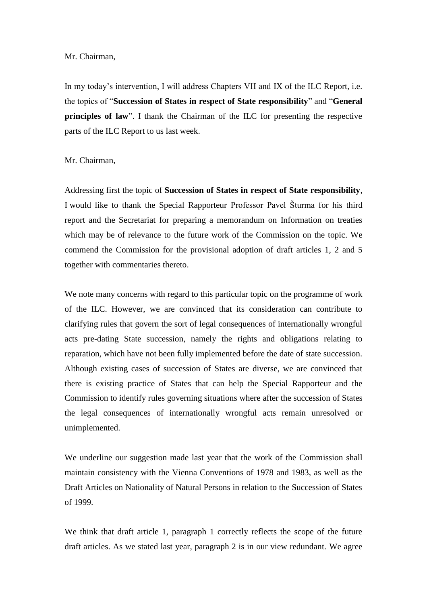#### Mr. Chairman,

In my today's intervention, I will address Chapters VII and IX of the ILC Report, i.e. the topics of "**Succession of States in respect of State responsibility**" and "**General principles of law**". I thank the Chairman of the ILC for presenting the respective parts of the ILC Report to us last week.

Mr. Chairman,

Addressing first the topic of **Succession of States in respect of State responsibility**, I would like to thank the Special Rapporteur Professor Pavel Šturma for his third report and the Secretariat for preparing a memorandum on Information on treaties which may be of relevance to the future work of the Commission on the topic. We commend the Commission for the provisional adoption of draft articles 1, 2 and 5 together with commentaries thereto.

We note many concerns with regard to this particular topic on the programme of work of the ILC. However, we are convinced that its consideration can contribute to clarifying rules that govern the sort of legal consequences of internationally wrongful acts pre-dating State succession, namely the rights and obligations relating to reparation, which have not been fully implemented before the date of state succession. Although existing cases of succession of States are diverse, we are convinced that there is existing practice of States that can help the Special Rapporteur and the Commission to identify rules governing situations where after the succession of States the legal consequences of internationally wrongful acts remain unresolved or unimplemented.

We underline our suggestion made last year that the work of the Commission shall maintain consistency with the Vienna Conventions of 1978 and 1983, as well as the Draft Articles on Nationality of Natural Persons in relation to the Succession of States of 1999.

We think that draft article 1, paragraph 1 correctly reflects the scope of the future draft articles. As we stated last year, paragraph 2 is in our view redundant. We agree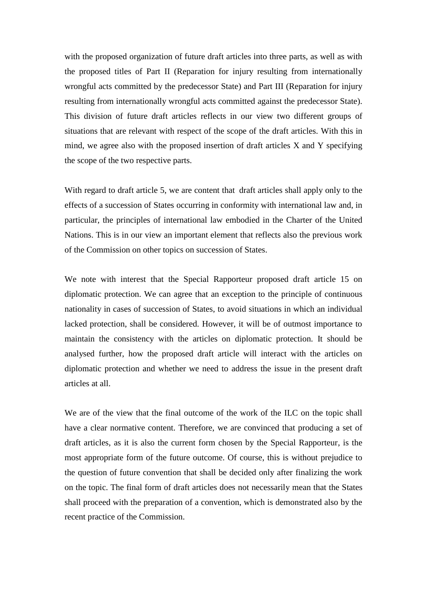with the proposed organization of future draft articles into three parts, as well as with the proposed titles of Part II (Reparation for injury resulting from internationally wrongful acts committed by the predecessor State) and Part III (Reparation for injury resulting from internationally wrongful acts committed against the predecessor State). This division of future draft articles reflects in our view two different groups of situations that are relevant with respect of the scope of the draft articles. With this in mind, we agree also with the proposed insertion of draft articles X and Y specifying the scope of the two respective parts.

With regard to draft article 5, we are content that draft articles shall apply only to the effects of a succession of States occurring in conformity with international law and, in particular, the principles of international law embodied in the Charter of the United Nations. This is in our view an important element that reflects also the previous work of the Commission on other topics on succession of States.

We note with interest that the Special Rapporteur proposed draft article 15 on diplomatic protection. We can agree that an exception to the principle of continuous nationality in cases of succession of States, to avoid situations in which an individual lacked protection, shall be considered. However, it will be of outmost importance to maintain the consistency with the articles on diplomatic protection. It should be analysed further, how the proposed draft article will interact with the articles on diplomatic protection and whether we need to address the issue in the present draft articles at all.

We are of the view that the final outcome of the work of the ILC on the topic shall have a clear normative content. Therefore, we are convinced that producing a set of draft articles, as it is also the current form chosen by the Special Rapporteur, is the most appropriate form of the future outcome. Of course, this is without prejudice to the question of future convention that shall be decided only after finalizing the work on the topic. The final form of draft articles does not necessarily mean that the States shall proceed with the preparation of a convention, which is demonstrated also by the recent practice of the Commission.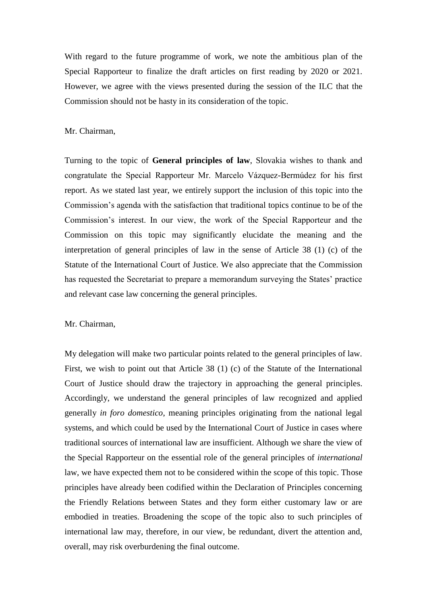With regard to the future programme of work, we note the ambitious plan of the Special Rapporteur to finalize the draft articles on first reading by 2020 or 2021. However, we agree with the views presented during the session of the ILC that the Commission should not be hasty in its consideration of the topic.

### Mr. Chairman,

Turning to the topic of **General principles of law**, Slovakia wishes to thank and congratulate the Special Rapporteur Mr. Marcelo Vázquez-Bermúdez for his first report. As we stated last year, we entirely support the inclusion of this topic into the Commission's agenda with the satisfaction that traditional topics continue to be of the Commission's interest. In our view, the work of the Special Rapporteur and the Commission on this topic may significantly elucidate the meaning and the interpretation of general principles of law in the sense of Article 38 (1) (c) of the Statute of the International Court of Justice. We also appreciate that the Commission has requested the Secretariat to prepare a memorandum surveying the States' practice and relevant case law concerning the general principles.

#### Mr. Chairman,

My delegation will make two particular points related to the general principles of law. First, we wish to point out that Article 38 (1) (c) of the Statute of the International Court of Justice should draw the trajectory in approaching the general principles. Accordingly, we understand the general principles of law recognized and applied generally *in foro domestico*, meaning principles originating from the national legal systems, and which could be used by the International Court of Justice in cases where traditional sources of international law are insufficient. Although we share the view of the Special Rapporteur on the essential role of the general principles of *international* law, we have expected them not to be considered within the scope of this topic. Those principles have already been codified within the Declaration of Principles concerning the Friendly Relations between States and they form either customary law or are embodied in treaties. Broadening the scope of the topic also to such principles of international law may, therefore, in our view, be redundant, divert the attention and, overall, may risk overburdening the final outcome.